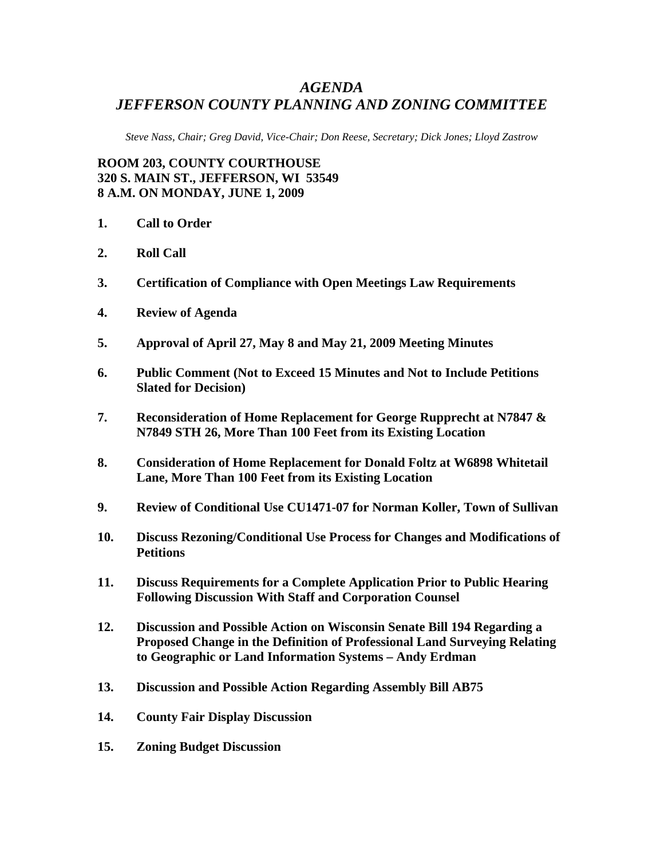## *AGENDA JEFFERSON COUNTY PLANNING AND ZONING COMMITTEE*

*Steve Nass, Chair; Greg David, Vice-Chair; Don Reese, Secretary; Dick Jones; Lloyd Zastrow* 

**ROOM 203, COUNTY COURTHOUSE 320 S. MAIN ST., JEFFERSON, WI 53549 8 A.M. ON MONDAY, JUNE 1, 2009** 

- **1. Call to Order**
- **2. Roll Call**
- **3. Certification of Compliance with Open Meetings Law Requirements**
- **4. Review of Agenda**
- **5. Approval of April 27, May 8 and May 21, 2009 Meeting Minutes**
- **6. Public Comment (Not to Exceed 15 Minutes and Not to Include Petitions Slated for Decision)**
- **7. Reconsideration of Home Replacement for George Rupprecht at N7847 & N7849 STH 26, More Than 100 Feet from its Existing Location**
- **8. Consideration of Home Replacement for Donald Foltz at W6898 Whitetail Lane, More Than 100 Feet from its Existing Location**
- **9. Review of Conditional Use CU1471-07 for Norman Koller, Town of Sullivan**
- **10. Discuss Rezoning/Conditional Use Process for Changes and Modifications of Petitions**
- **11. Discuss Requirements for a Complete Application Prior to Public Hearing Following Discussion With Staff and Corporation Counsel**
- **12. Discussion and Possible Action on Wisconsin Senate Bill 194 Regarding a Proposed Change in the Definition of Professional Land Surveying Relating to Geographic or Land Information Systems – Andy Erdman**
- **13. Discussion and Possible Action Regarding Assembly Bill AB75**
- **14. County Fair Display Discussion**
- **15. Zoning Budget Discussion**